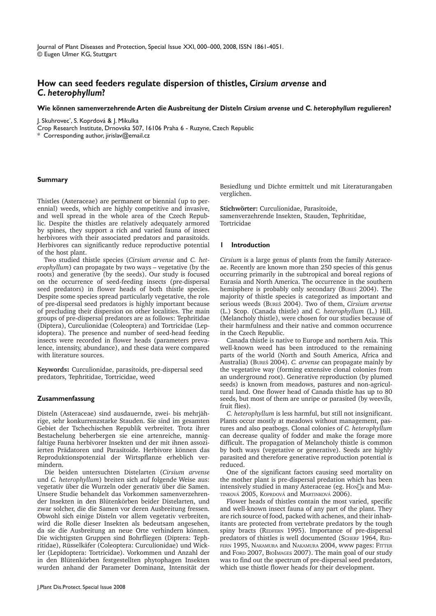Journal of Plant Diseases and Protection, Special Issue XXI, 000–000, 2008, ISSN 1861-4051. © Eugen Ulmer KG, Stuttgart

# **How can seed feeders regulate dispersion of thistles,** *Cirsium arvense* **and**  *C. heterophyllum***?**

### **Wie können samenverzehrende Arten die Ausbreitung der Disteln** *Cirsium arvense* **und C***. heterophyllum* **regulieren?**

J. Skuhrovec\* , S. Koprdová & J. Mikulka

Crop Research Institute, Drnovska 507, 16106 Praha 6 - Ruzyne, Czech Republic

\* Corresponding author, jirislav@email.cz

## **Summary**

Thistles (Asteraceae) are permanent or biennial (up to perennial) weeds, which are highly competitive and invasive, and well spread in the whole area of the Czech Republic. Despite the thistles are relatively adequately armored by spines, they support a rich and varied fauna of insect herbivores with their associated predators and parasitoids. Herbivores can significantly reduce reproductive potential of the host plant.

Two studied thistle species (*Cirsium arvense* and *C. heterophyllum*) can propagate by two ways – vegetative (by the roots) and generative (by the seeds). Our study is focused on the occurrence of seed-feeding insects (pre-dispersal seed predators) in flower heads of both thistle species. Despite some species spread particularly vegetative, the role of pre-dispersal seed predators is highly important because of precluding their dispersion on other localities. The main groups of pre-dispersal predators are as follows: Tephritidae (Diptera), Curculionidae (Coleoptera) and Tortricidae (Lepidoptera). The presence and number of seed-head feeding insects were recorded in flower heads (parameters prevalence, intensity, abundance), and these data were compared with literature sources.

**Keywords**: Curculionidae, parasitoids, pre-dispersal seed predators, Tephritidae, Tortricidae, weed

## **Zusammenfassung**

Disteln (Asteraceae) sind ausdauernde, zwei- bis mehrjährige, sehr konkurrenzstarke Stauden. Sie sind im gesamten Gebiet der Tschechischen Republik verbreitet. Trotz ihrer Bestachelung beherbergen sie eine artenreiche, mannigfaltige Fauna herbivorer Insekten und der mit ihnen assoziierten Prädatoren und Parasitoide. Herbivore können das Reproduktionspotenzial der Wirtspflanze erheblich vermindern.

Die beiden untersuchten Distelarten (*Cirsium arvense* und *C. heterophyllum*) breiten sich auf folgende Weise aus: vegetativ über die Wurzeln oder generativ über die Samen. Unsere Studie behandelt das Vorkommen samenverzehrender Insekten in den Blütenkörben beider Distelarten, und zwar solcher, die die Samen vor deren Ausbreitung fressen. Obwohl sich einige Disteln vor allem vegetativ verbreiten, wird die Rolle dieser Insekten als bedeutsam angesehen, da sie die Ausbreitung an neue Orte verhindern können. Die wichtigsten Gruppen sind Bohrfliegen (Diptera: Tephritidae), Rüsselkäfer (Coleoptera: Curculionidae) und Wickler (Lepidoptera: Tortricidae). Vorkommen und Anzahl der in den Blütenkörben festgestellten phytophagen Insekten wurden anhand der Parameter Dominanz, Intensität der

Besiedlung und Dichte ermittelt und mit Literaturangaben verglichen.

**Stichwörter:** Curculionidae, Parasitoide, samenverzehrende Insekten, Stauden, Tephritidae, Tortricidae

### **1 Introduction**

*Cirsium* is a large genus of plants from the family Asteraceae. Recently are known more than 250 species of this genus occurring primarily in the subtropical and boreal regions of Eurasia and North America. The occurrence in the southern hemisphere is probably only secondary (BUREŠ 2004). The majority of thistle species is categorized as important and serious weeds (BUREŠ 2004). Two of them, *Cirsium arvense*  (L.) Scop. (Canada thistle) and *C. heterophyllum* (L.) Hill. (Melancholy thistle), were chosen for our studies because of their harmfulness and their native and common occurrence in the Czech Republic.

Canada thistle is native to Europe and northern Asia. This well-known weed has been introduced to the remaining parts of the world (North and South America, Africa and Australia) (BUREŠ 2004). *C. arvense* can propagate mainly by the vegetative way (forming extensive clonal colonies from an underground root). Generative reproduction (by plumed seeds) is known from meadows, pastures and non-agricultural land. One flower head of Canada thistle has up to 80 seeds, but most of them are unripe or parasited (by weevils, fruit flies).

*C. heterophyllum* is less harmful, but still not insignificant. Plants occur mostly at meadows without management, pastures and also peatbogs. Clonal colonies of *C. heterophyllum*  can decrease quality of fodder and make the forage more difficult. The propagation of Melancholy thistle is common by both ways (vegetative or generative). Seeds are highly parasited and therefore generative reproduction potential is reduced.

One of the significant factors causing seed mortality on the mother plant is pre-dispersal predation which has been intensively studied in many Asteraceae (eg. Hon $\nabla$ <sub>K</sub> and MAR-TINKOVÁ 2005, KOPRDOVÁ and MARTINKOVÁ 2006).

Flower heads of thistles contain the most varied, specific and well-known insect fauna of any part of the plant. They are rich source of food, packed with achenes, and their inhabitants are protected from vertebrate predators by the tough spiny bracts (REDFERN 1995). Importance of pre-dispersal predators of thistles is well documented (SCHERF 1964, RED-FERN 1995, NAKAMURA and NAKAMURA 2004, www pages: FITTER and FORD 2007, BIOIMAGES 2007). The main goal of our study was to find out the spectrum of pre-dispersal seed predators, which use thistle flower heads for their development.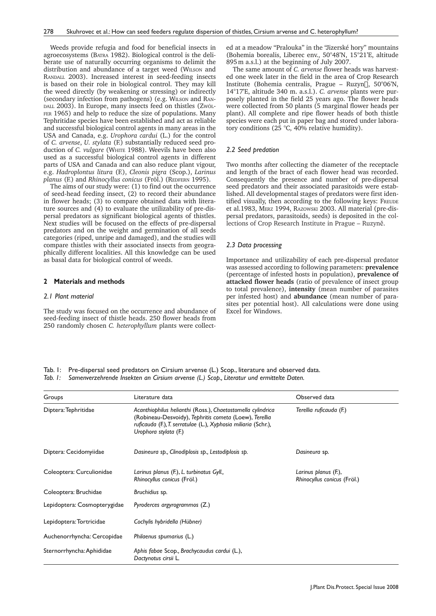Weeds provide refugia and food for beneficial insects in agroecosystems (BATRA 1982). Biological control is the deliberate use of naturally occurring organisms to delimit the distribution and abundance of a target weed (WILSON and RANDALL 2003). Increased interest in seed-feeding insects is based on their role in biological control. They may kill the weed directly (by weakening or stressing) or indirectly (secondary infection from pathogens) (e.g. WILSON and RAN-DALL 2003). In Europe, many insects feed on thistles (ZwöL-FER 1965) and help to reduce the size of populations. Many Tephritidae species have been established and act as reliable and successful biological control agents in many areas in the USA and Canada, e.g. *Urophora cardui* (L.) for the control of *C. arvense*, *U. stylata* (F.) substantially reduced seed production of *C. vulgare* (WHITE 1988). Weevils have been also used as a successful biological control agents in different parts of USA and Canada and can also reduce plant vigour, e.g. *Hadroplontus litura* (F.), *Cleonis pigra* (Scop.), *Larinus planus* (F.) and *Rhinocyllus conicus* (Fröl.) (REDFERN 1995).

The aims of our study were: (1) to find out the occurrence of seed-head feeding insect, (2) to record their abundance in flower heads; (3) to compare obtained data with literature sources and (4) to evaluate the utilizability of pre-dispersal predators as significant biological agents of thistles. Next studies will be focused on the effects of pre-dispersal predators and on the weight and germination of all seeds categories (riped, unripe and damaged), and the studies will compare thistles with their associated insects from geographically different localities. All this knowledge can be used as basal data for biological control of weeds.

### **2 Materials and methods**

#### *2.1 Plant material*

The study was focused on the occurrence and abundance of seed-feeding insect of thistle heads. 250 flower heads from 250 randomly chosen *C. heterophyllum* plants were collected at a meadow "Pralouka" in the "Jizerské hory" mountains (Bohemia borealis, Liberec env., 50°48'N, 15°21'E, altitude 895 m a.s.l.) at the beginning of July 2007.

The same amount of *C. arvense* flower heads was harvested one week later in the field in the area of Crop Research Institute (Bohemia centralis, Prague – Ruzyn $\overline{D}$ , 50°06'N, 14°17'E, altitude 340 m. a.s.l.). *C. arvense* plants were purposely planted in the field 25 years ago. The flower heads were collected from 50 plants (5 marginal flower heads per plant). All complete and ripe flower heads of both thistle species were each put in paper bag and stored under laboratory conditions (25 °C, 40% relative humidity).

## *2.2 Seed predation*

Two months after collecting the diameter of the receptacle and length of the bract of each flower head was recorded. Consequently the presence and number of pre-dispersal seed predators and their associated parasitoids were established. All developmental stages of predators were first identified visually, then according to the following keys: FREUDE et al.1983, MERZ 1994, RAZOWSKI 2003. All material (pre-dispersal predators, parasitoids, seeds) is deposited in the collections of Crop Research Institute in Prague – Ruzyně.

#### *2.3 Data processing*

Importance and utilizability of each pre-dispersal predator was assessed according to following parameters: **prevalence** (percentage of infested hosts in population), **prevalence of attacked flower heads** (ratio of prevalence of insect group to total prevalence), **intensity** (mean number of parasites per infested host) and **abundance** (mean number of parasites per potential host). All calculations were done using Excel for Windows.

Tab. 1: Pre-dispersal seed predators on Cirsium arvense (L.) Scop., literature and observed data. *Tab. 1: Samenverzehrende Insekten an Cirsium arvense (L.) Scop., Literatur und ermittelte Daten.*

| Groups                       | Literature data                                                                                                                                                                                                  | Observed data                                       |  |  |  |
|------------------------------|------------------------------------------------------------------------------------------------------------------------------------------------------------------------------------------------------------------|-----------------------------------------------------|--|--|--|
| Diptera: Tephritidae         | Acanthiophilus helianthi (Ross.), Chaetostomella cylindrica<br>(Robineau-Desvoidy), Tephritis cometa (Loew), Terellia<br>ruficauda (F.), T. serratulae (L.), Xyphosia miliaria (Schr.),<br>Urophora stylata (F.) | Terellia ruficauda (F.)                             |  |  |  |
| Diptera: Cecidomyiidae       | Dasineura sp., Clinodiplosis sp., Lestodiplosis sp.                                                                                                                                                              | Dasineura sp.                                       |  |  |  |
| Coleoptera: Curculionidae    | Larinus planus (F.), L. turbinatus Gyll.,<br>Rhinocyllus conicus (Fröl.)                                                                                                                                         | Larinus planus (F.),<br>Rhinocyllus conicus (Fröl.) |  |  |  |
| Coleoptera: Bruchidae        | Bruchidius sp.                                                                                                                                                                                                   |                                                     |  |  |  |
| Lepidoptera: Cosmopterygidae | Pyroderces argyrogrammos (Z.)                                                                                                                                                                                    |                                                     |  |  |  |
| Lepidoptera: Tortricidae     | Cochylis hybridella (Hübner)                                                                                                                                                                                     |                                                     |  |  |  |
| Auchenorrhyncha: Cercopidae  | Philaenus spumarius (L.)                                                                                                                                                                                         |                                                     |  |  |  |
| Sternorrhyncha: Aphididae    | Aphis fabae Scop., Brachycaudus cardui (L.),<br>Dactynotus cirsii L.                                                                                                                                             |                                                     |  |  |  |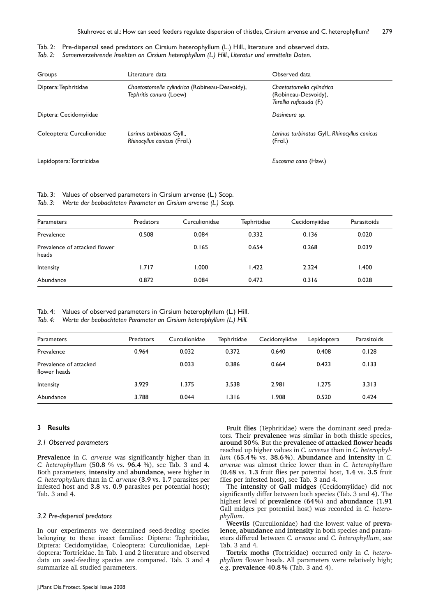## Tab. 2: Pre-dispersal seed predators on Cirsium heterophyllum (L.) Hill., literature and observed data.

### *Tab. 2: Samenverzehrende Insekten an Cirsium heterophyllum (L.) Hill., Literatur und ermittelte Daten.*

| Groups                    | Literature data                                                           | Observed data                                                                |
|---------------------------|---------------------------------------------------------------------------|------------------------------------------------------------------------------|
| Diptera: Tephritidae      | Chaetostomella cylindrica (Robineau-Desvoidy),<br>Tephritis conura (Loew) | Chaetostomella cylindrica<br>(Robineau-Desvoidy),<br>Terellia ruficauda (F.) |
| Diptera: Cecidomyiidae    |                                                                           | Dasineura sp.                                                                |
| Coleoptera: Curculionidae | Larinus turbinatus Gyll.,<br>Rhinocyllus conicus (Fröl.)                  | Larinus turbinatus Gyll., Rhinocyllus conicus<br>(Fröl.)                     |
| Lepidoptera: Tortricidae  |                                                                           | Eucosma cana (Haw.)                                                          |

Tab. 3: Values of observed parameters in Cirsium arvense (L.) Scop.

*Tab. 3: Werte der beobachteten Parameter an Cirsium arvense (L.) Scop.*

| Parameters                             | Predators | Curculionidae | Tephritidae | Cecidomyiidae | Parasitoids |
|----------------------------------------|-----------|---------------|-------------|---------------|-------------|
| Prevalence                             | 0.508     | 0.084         | 0.332       | 0.136         | 0.020       |
| Prevalence of attacked flower<br>heads |           | 0.165         | 0.654       | 0.268         | 0.039       |
| Intensity                              | 1.717     | 1.000         | 1.422       | 2.324         | 1.400       |
| Abundance                              | 0.872     | 0.084         | 0.472       | 0.316         | 0.028       |

## Tab. 4: Values of observed parameters in Cirsium heterophyllum (L.) Hill.

*Tab. 4: Werte der beobachteten Parameter an Cirsium heterophyllum (L.) Hill.*

| Parameters                             | <b>Predators</b> | Curculionidae | Tephritidae | Cecidomyiidae | Lepidoptera | Parasitoids |
|----------------------------------------|------------------|---------------|-------------|---------------|-------------|-------------|
| Prevalence                             | 0.964            | 0.032         | 0.372       | 0.640         | 0.408       | 0.128       |
| Prevalence of attacked<br>flower heads |                  | 0.033         | 0.386       | 0.664         | 0.423       | 0.133       |
| Intensity                              | 3.929            | 1.375         | 3.538       | 2.981         | 1.275       | 3.313       |
| Abundance                              | 3.788            | 0.044         | 1.316       | .908          | 0.520       | 0.424       |

## **3 Results**

#### *3.1 Observed parameters*

**Prevalence** in *C. arvense* was significantly higher than in *C. heterophyllum* (**50.8** % vs. **96.4** %), see Tab. 3 and 4. Both parameters, **intensity** and **abundance**, were higher in *C. heterophyllum* than in *C. arvense* (**3.9** vs. **1.7** parasites per infested host and **3.8** vs. **0.9** parasites per potential host); Tab. 3 and 4.

### *3.2 Pre-dispersal predators*

In our experiments we determined seed-feeding species belonging to these insect families: Diptera: Tephritidae, Diptera: Cecidomyiidae, Coleoptera: Curculionidae, Lepidoptera: Tortricidae. In Tab. 1 and 2 literature and observed data on seed-feeding species are compared. Tab. 3 and 4 summarize all studied parameters.

**Fruit flies** (Tephritidae) were the dominant seed predators. Their **prevalence** was similar in both thistle species**, around 30 %.** But the **prevalence of attacked flower heads** reached up higher values in *C. arvense* than in *C. heterophyllum* (**65.4 %** vs. **38.6 %**). **Abundance** and **intensity** in *C. arvense* was almost thrice lower than in *C. heterophyllum*  (**0.48** vs. **1.3** fruit flies per potential host, **1.4** vs. **3.5** fruit flies per infested host), see Tab. 3 and 4.

The **intensity** of **Gall midges** (Cecidomyiidae) did not significantly differ between both species (Tab. 3 and 4). The highest level of **prevalence** (**64 %**) and **abundance** (**1.91** Gall midges per potential host) was recorded in *C. heterophyllum*.

**Weevils** (Curculionidae) had the lowest value of **prevalence, abundance** and **intensity** in both species and parameters differed between *C. arvense* and *C. heterophyllum*, see Tab. 3 and 4.

**Tortrix moths** (Tortricidae) occurred only in *C. heterophyllum* flower heads. All parameters were relatively high; e.g. **prevalence 40.8 %** (Tab. 3 and 4).